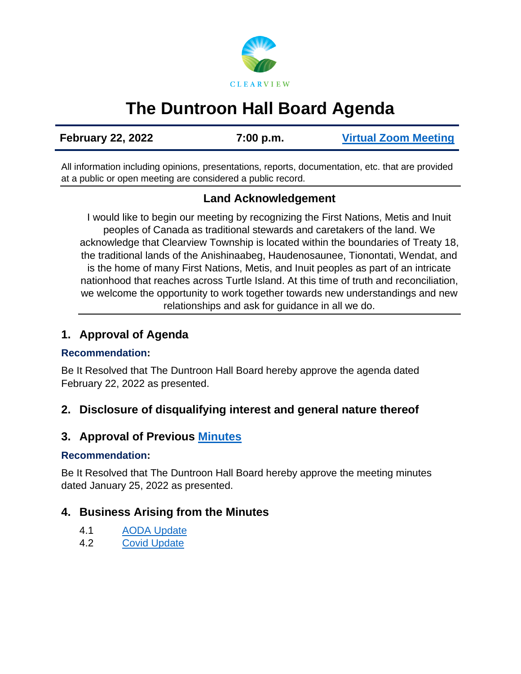

# **The Duntroon Hall Board Agenda**

**February 22, 2022 7:00 p.m. [Virtual Zoom Meeting](https://us02web.zoom.us/j/85911705436)**

All information including opinions, presentations, reports, documentation, etc. that are provided at a public or open meeting are considered a public record.

## **Land Acknowledgement**

I would like to begin our meeting by recognizing the First Nations, Metis and Inuit peoples of Canada as traditional stewards and caretakers of the land. We acknowledge that Clearview Township is located within the boundaries of Treaty 18, the traditional lands of the Anishinaabeg, Haudenosaunee, Tionontati, Wendat, and is the home of many First Nations, Metis, and Inuit peoples as part of an intricate nationhood that reaches across Turtle Island. At this time of truth and reconciliation, we welcome the opportunity to work together towards new understandings and new relationships and ask for guidance in all we do.

## **1. Approval of Agenda**

#### **Recommendation:**

Be It Resolved that The Duntroon Hall Board hereby approve the agenda dated February 22, 2022 as presented.

## **2. Disclosure of disqualifying interest and general nature thereof**

## **3. Approval of Previous [Minutes](https://www.clearview.ca/sites/default/files/uploads/publications/2022-01-25_duntroon_hall_board_minutes.pdf)**

#### **Recommendation:**

Be It Resolved that The Duntroon Hall Board hereby approve the meeting minutes dated January 25, 2022 as presented.

## **4. Business Arising from the Minutes**

- 4.1 [AODA Update](https://www.clearview.ca/sites/default/files/uploads/publications/2022-02-15_aoda_duntroon_hall_-_lloyd_hunt_0.pdf)
- 4.2 [Covid Update](https://www.clearview.ca/sites/default/files/uploads/publications/2022-01-27_and_2022-02-07_covid_updates.pdf)